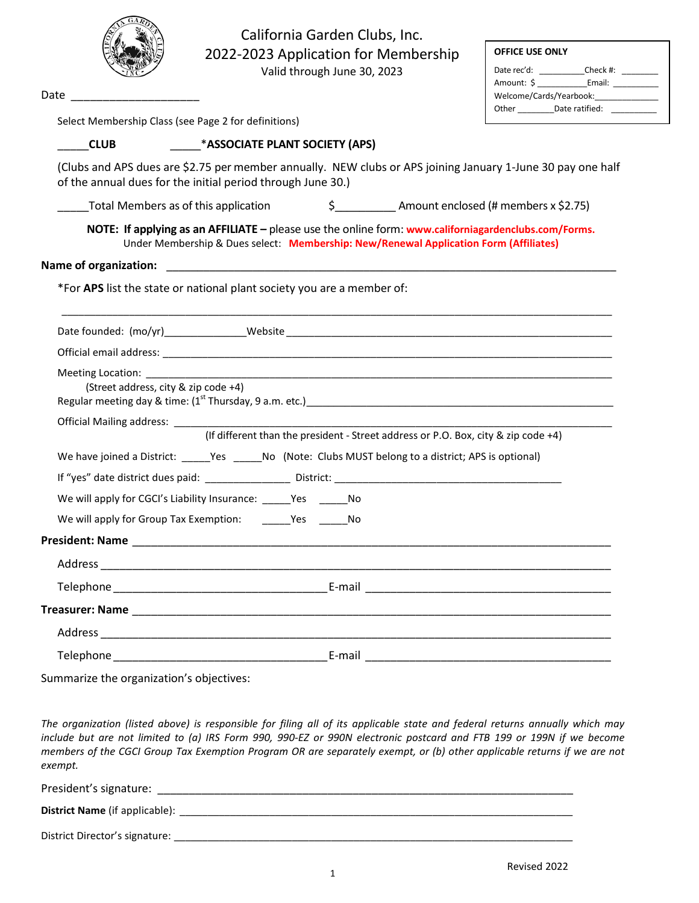|                                                                         | California Garden Clubs, Inc.<br>2022-2023 Application for Membership<br>Valid through June 30, 2023                                                                                          | <b>OFFICE USE ONLY</b><br>Date rec'd: ____________Check #: _________ |
|-------------------------------------------------------------------------|-----------------------------------------------------------------------------------------------------------------------------------------------------------------------------------------------|----------------------------------------------------------------------|
| Date $\overline{\phantom{a}}$                                           |                                                                                                                                                                                               | Welcome/Cards/Yearbook:_____________                                 |
| Select Membership Class (see Page 2 for definitions)                    |                                                                                                                                                                                               | Other ___________Date ratified: ___________                          |
| <b>CLUB</b>                                                             | <b>MALLETTE PLANT SOCIETY (APS)</b>                                                                                                                                                           |                                                                      |
|                                                                         | (Clubs and APS dues are \$2.75 per member annually. NEW clubs or APS joining January 1-June 30 pay one half<br>of the annual dues for the initial period through June 30.)                    |                                                                      |
|                                                                         | \$ Amount enclosed (# members x \$2.75)<br>Total Members as of this application                                                                                                               |                                                                      |
|                                                                         | NOTE: If applying as an AFFILIATE - please use the online form: www.californiagardenclubs.com/Forms.<br>Under Membership & Dues select: Membership: New/Renewal Application Form (Affiliates) |                                                                      |
| <b>Name of organization:</b>                                            | <u> 1980 - Jan James James, margaret eta idazleari (h. 1980).</u>                                                                                                                             |                                                                      |
|                                                                         | *For APS list the state or national plant society you are a member of:                                                                                                                        |                                                                      |
|                                                                         |                                                                                                                                                                                               |                                                                      |
|                                                                         |                                                                                                                                                                                               |                                                                      |
| Meeting Location: <u>______</u><br>(Street address, city & zip code +4) | <u> 1989 - Jan James James James James James James James James James James James James James James James James J</u>                                                                          |                                                                      |
|                                                                         |                                                                                                                                                                                               |                                                                      |
|                                                                         | (If different than the president - Street address or P.O. Box, city & zip code +4)                                                                                                            |                                                                      |
|                                                                         | We have joined a District: _____Yes _____No (Note: Clubs MUST belong to a district; APS is optional)                                                                                          |                                                                      |
|                                                                         |                                                                                                                                                                                               |                                                                      |
|                                                                         | We will apply for CGCI's Liability Insurance: _______ Yes _______ No                                                                                                                          |                                                                      |
|                                                                         | We will apply for Group Tax Exemption: ________ Yes _______ No                                                                                                                                |                                                                      |
|                                                                         |                                                                                                                                                                                               |                                                                      |
|                                                                         |                                                                                                                                                                                               |                                                                      |
|                                                                         |                                                                                                                                                                                               |                                                                      |
|                                                                         |                                                                                                                                                                                               |                                                                      |
|                                                                         |                                                                                                                                                                                               |                                                                      |
|                                                                         |                                                                                                                                                                                               |                                                                      |

Summarize the organization's objectives:

*The organization (listed above) is responsible for filing all of its applicable state and federal returns annually which may include but are not limited to (a) IRS Form 990, 990-EZ or 990N electronic postcard and FTB 199 or 199N if we become members of the CGCI Group Tax Exemption Program OR are separately exempt, or (b) other applicable returns if we are not exempt.*

President's signature: \_\_\_\_\_\_\_\_\_\_\_\_\_\_\_\_\_\_\_\_\_\_\_\_\_\_\_\_\_\_\_\_\_\_\_\_\_\_\_\_\_\_\_\_\_\_\_\_\_\_\_\_\_\_\_\_\_\_\_\_\_\_\_\_\_\_

**District Name** (if applicable): \_\_\_\_\_\_\_\_\_\_\_\_\_\_\_\_\_\_\_\_\_\_\_\_\_\_\_\_\_\_\_\_\_\_\_\_\_\_\_\_\_\_\_\_\_\_\_\_\_\_\_\_\_\_\_\_\_\_\_\_\_\_\_\_\_\_\_\_\_\_

District Director's signature: \_\_\_\_\_\_\_\_\_\_\_\_\_\_\_\_\_\_\_\_\_\_\_\_\_\_\_\_\_\_\_\_\_\_\_\_\_\_\_\_\_\_\_\_\_\_\_\_\_\_\_\_\_\_\_\_\_\_\_\_\_\_\_\_\_\_\_\_\_\_\_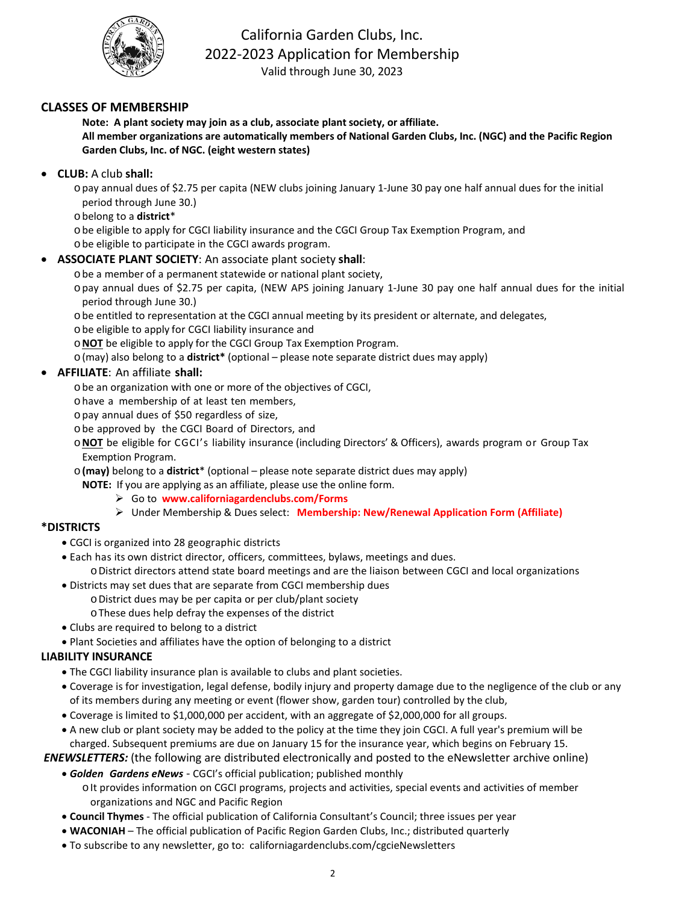

# California Garden Clubs, Inc. 2022-2023 Application for Membership Valid through June 30, 2023

# **CLASSES OF MEMBERSHIP**

**Note: A plant society may join as a club, associate plantsociety, or affiliate. All member organizations are automatically members of National Garden Clubs, Inc. (NGC) and the Pacific Region Garden Clubs, Inc. of NGC. (eight western states)**

• **CLUB:** A club **shall:**

opay annual dues of \$2.75 per capita (NEW clubs joining January 1-June 30 pay one half annual dues for the initial period through June 30.)

- obelong to a **district**\*
- obe eligible to apply for CGCI liability insurance and the CGCI Group Tax Exemption Program, and
- obe eligible to participate in the CGCI awards program.

## • **ASSOCIATE PLANT SOCIETY**: An associate plant society **shall**:

obe a member of a permanent statewide or national plant society,

opay annual dues of \$2.75 per capita, (NEW APS joining January 1-June 30 pay one half annual dues for the initial period through June 30.)

- obe entitled to representation at the CGCI annual meeting by its president or alternate, and delegates,
- obe eligible to apply for CGCI liability insurance and
- o**NOT** be eligible to apply for the CGCI Group Tax Exemption Program.
- o(may) also belong to a **district\*** (optional please note separate district dues may apply)

#### • **AFFILIATE**: An affiliate **shall:**

- obe an organization with one or more of the objectives of CGCI,
- ohave a membership of at least ten members,
- opay annual dues of \$50 regardless of size,
- obe approved by the CGCI Board of Directors, and
- o**NOT** be eligible for CGCI's liability insurance (including Directors' & Officers), awards program or Group Tax Exemption Program.
- o**(may)** belong to a **district**\* (optional please note separate district dues may apply)
	- **NOTE:** If you are applying as an affiliate, please use the online form.
		- Go to **www.californiagardenclubs.com/Forms**
		- Under Membership & Dues select: **Membership: New/Renewal Application Form (Affiliate)**

## **\*DISTRICTS**

- CGCI is organized into 28 geographic districts
- Each has its own district director, officers, committees, bylaws, meetings and dues. oDistrict directors attend state board meetings and are the liaison between CGCI and local organizations
- Districts may set dues that are separate from CGCI membership dues
	- oDistrict dues may be per capita or per club/plant society
	- oThese dues help defray the expenses of the district
- Clubs are required to belong to a district
- Plant Societies and affiliates have the option of belonging to a district

## **LIABILITY INSURANCE**

- The CGCI liability insurance plan is available to clubs and plant societies.
- Coverage is for investigation, legal defense, bodily injury and property damage due to the negligence of the club or any of its members during any meeting or event (flower show, garden tour) controlled by the club,
- Coverage is limited to \$1,000,000 per accident, with an aggregate of \$2,000,000 for all groups.
- A new club or plant society may be added to the policy at the time they join CGCI. A full year's premium will be charged. Subsequent premiums are due on January 15 for the insurance year, which begins on February 15.

*ENEWSLETTERS:* (the following are distributed electronically and posted to the eNewsletter archive online)

- *Golden Gardens eNews* CGCI's official publication; published monthly
	- o It provides information on CGCI programs, projects and activities, special events and activities of member organizations and NGC and Pacific Region
- **Council Thymes** The official publication of California Consultant's Council; three issues per year
- **WACONIAH**  The official publication of Pacific Region Garden Clubs, Inc.; distributed quarterly
- To subscribe to any newsletter, go to: californiagardenclubs.com/cgcieNewsletters